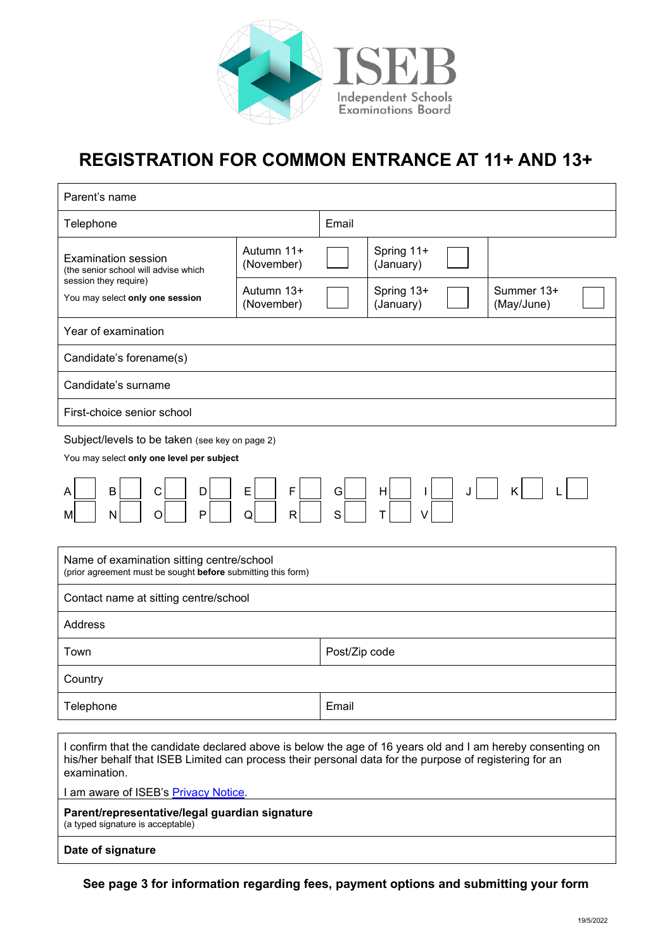

# **REGISTRATION FOR COMMON ENTRANCE AT 11+ AND 13+**

| Parent's name                                                                                                                                                                                                                                                                |                          |               |                         |  |                          |  |
|------------------------------------------------------------------------------------------------------------------------------------------------------------------------------------------------------------------------------------------------------------------------------|--------------------------|---------------|-------------------------|--|--------------------------|--|
| Telephone                                                                                                                                                                                                                                                                    |                          | Email         |                         |  |                          |  |
| <b>Examination session</b><br>(the senior school will advise which<br>session they require)<br>You may select only one session                                                                                                                                               | Autumn 11+<br>(November) |               | Spring 11+<br>(January) |  |                          |  |
|                                                                                                                                                                                                                                                                              | Autumn 13+<br>(November) |               | Spring 13+<br>(January) |  | Summer 13+<br>(May/June) |  |
| Year of examination                                                                                                                                                                                                                                                          |                          |               |                         |  |                          |  |
| Candidate's forename(s)                                                                                                                                                                                                                                                      |                          |               |                         |  |                          |  |
| Candidate's surname                                                                                                                                                                                                                                                          |                          |               |                         |  |                          |  |
| First-choice senior school                                                                                                                                                                                                                                                   |                          |               |                         |  |                          |  |
| Subject/levels to be taken (see key on page 2)<br>You may select only one level per subject                                                                                                                                                                                  |                          |               |                         |  |                          |  |
| F<br>E<br>G<br>B<br>C<br>H<br>K<br>D<br>J<br>L<br>S<br>P<br>O<br>Q<br>N<br>R<br>т                                                                                                                                                                                            |                          |               |                         |  |                          |  |
| Name of examination sitting centre/school<br>(prior agreement must be sought before submitting this form)                                                                                                                                                                    |                          |               |                         |  |                          |  |
| Contact name at sitting centre/school                                                                                                                                                                                                                                        |                          |               |                         |  |                          |  |
| <b>Address</b>                                                                                                                                                                                                                                                               |                          |               |                         |  |                          |  |
| Town                                                                                                                                                                                                                                                                         |                          | Post/Zip code |                         |  |                          |  |
| Country                                                                                                                                                                                                                                                                      |                          |               |                         |  |                          |  |
| Telephone                                                                                                                                                                                                                                                                    |                          | Email         |                         |  |                          |  |
| I confirm that the candidate declared above is below the age of 16 years old and I am hereby consenting on<br>his/her behalf that ISEB Limited can process their personal data for the purpose of registering for an<br>examination.<br>I am aware of ISEB's Privacy Notice. |                          |               |                         |  |                          |  |
| Parent/representative/legal guardian signature<br>(a typed signature is acceptable)                                                                                                                                                                                          |                          |               |                         |  |                          |  |
| Date of signature                                                                                                                                                                                                                                                            |                          |               |                         |  |                          |  |
|                                                                                                                                                                                                                                                                              |                          |               |                         |  |                          |  |

**See page 3 for information regarding fees, payment options and submitting your form**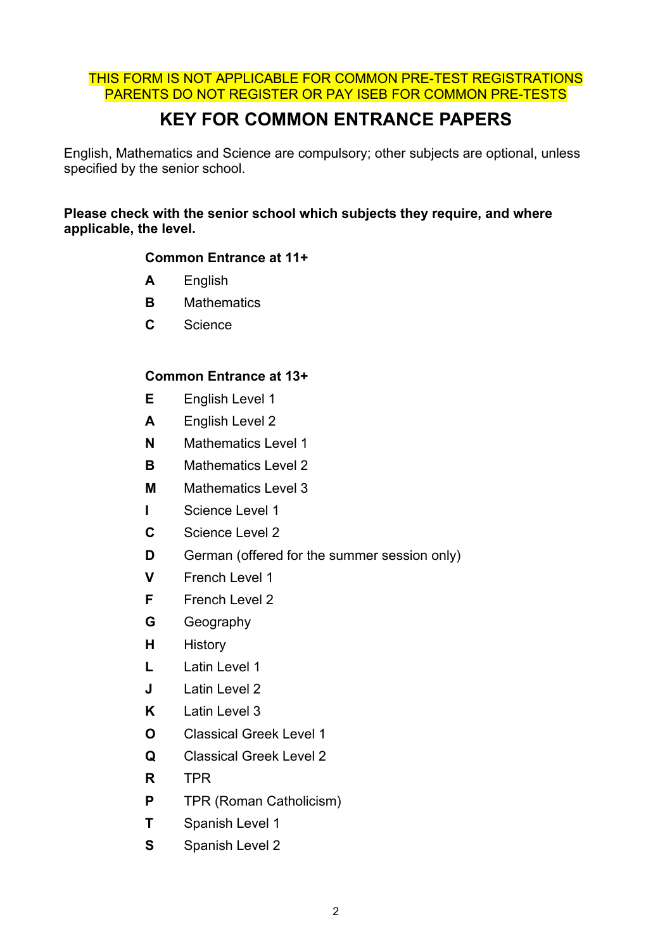#### THIS FORM IS NOT APPLICABLE FOR COMMON PRE-TEST REGISTRATIONS PARENTS DO NOT REGISTER OR PAY ISEB FOR COMMON PRE-TESTS

## **KEY FOR COMMON ENTRANCE PAPERS**

English, Mathematics and Science are compulsory; other subjects are optional, unless specified by the senior school.

#### **Please check with the senior school which subjects they require, and where applicable, the level.**

#### **Common Entrance at 11+**

- **A** English
- **B** Mathematics
- **C** Science

#### **Common Entrance at 13+**

- **E** English Level 1
- **A** English Level 2
- **N** Mathematics Level 1
- **B** Mathematics Level 2
- **M** Mathematics Level 3
- **I** Science Level 1
- **C** Science Level 2
- **D** German (offered for the summer session only)
- **V** French Level 1
- **F** French Level 2
- **G** Geography
- **H** History
- **L** Latin Level 1
- **J** Latin Level 2
- **K** Latin Level 3
- **O** Classical Greek Level 1
- **Q** Classical Greek Level 2
- **R** TPR
- **P** TPR (Roman Catholicism)
- **T** Spanish Level 1
- **S** Spanish Level 2